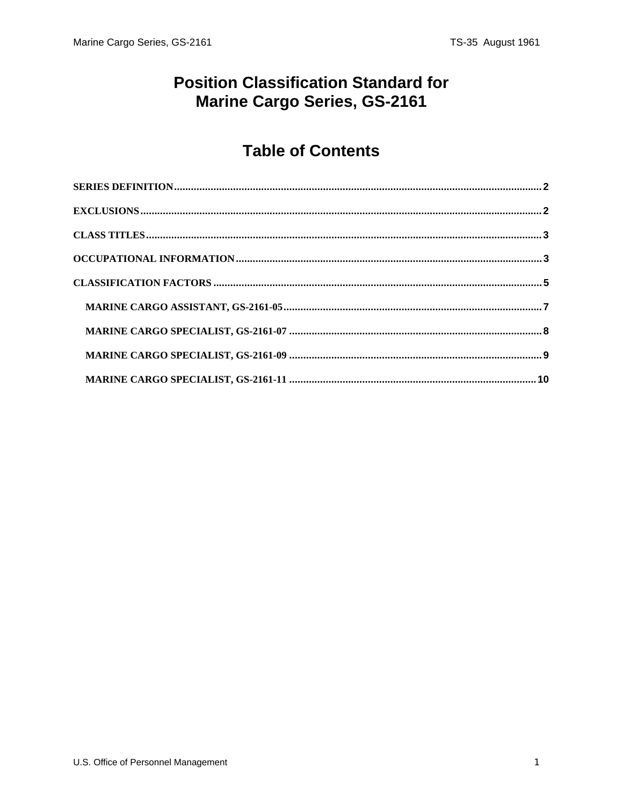# **Position Classification Standard for** Marine Cargo Series, GS-2161

# **Table of Contents**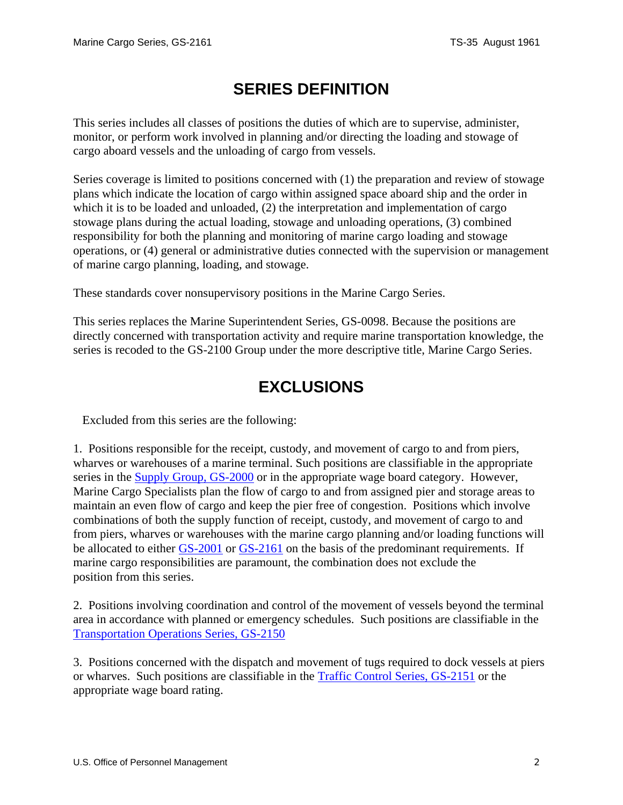# **SERIES DEFINITION**

<span id="page-1-0"></span>This series includes all classes of positions the duties of which are to supervise, administer, monitor, or perform work involved in planning and/or directing the loading and stowage of cargo aboard vessels and the unloading of cargo from vessels.

Series coverage is limited to positions concerned with (1) the preparation and review of stowage plans which indicate the location of cargo within assigned space aboard ship and the order in which it is to be loaded and unloaded, (2) the interpretation and implementation of cargo stowage plans during the actual loading, stowage and unloading operations, (3) combined responsibility for both the planning and monitoring of marine cargo loading and stowage operations, or (4) general or administrative duties connected with the supervision or management of marine cargo planning, loading, and stowage.

These standards cover nonsupervisory positions in the Marine Cargo Series.

This series replaces the Marine Superintendent Series, GS-0098. Because the positions are directly concerned with transportation activity and require marine transportation knowledge, the series is recoded to the GS-2100 Group under the more descriptive title, Marine Cargo Series.

# **EXCLUSIONS**

Excluded from this series are the following:

1. Positions responsible for the receipt, custody, and movement of cargo to and from piers, wharves or warehouses of a marine terminal. Such positions are classifiable in the appropriate series in the Supply Group, GS-2000 or in the appropriate wage board category. However, Marine Cargo Specialists plan the flow of cargo to and from assigned pier and storage areas to maintain an even flow of cargo and keep the pier free of congestion. Positions which involve combinations of both the supply function of receipt, custody, and movement of cargo to and from piers, wharves or warehouses with the marine cargo planning and/or loading functions will be allocated to either GS-2001 or GS-2161 on the basis of the predominant requirements. If marine cargo responsibilities are paramount, the combination does not exclude the position from this series.

2. Positions involving coordination and control of the movement of vessels beyond the terminal area in accordance with planned or emergency schedules. Such positions are classifiable in the Transportation Operations Series, GS-2150

3. Positions concerned with the dispatch and movement of tugs required to dock vessels at piers or wharves. Such positions are classifiable in the Traffic Control Series, GS-2151 or the appropriate wage board rating.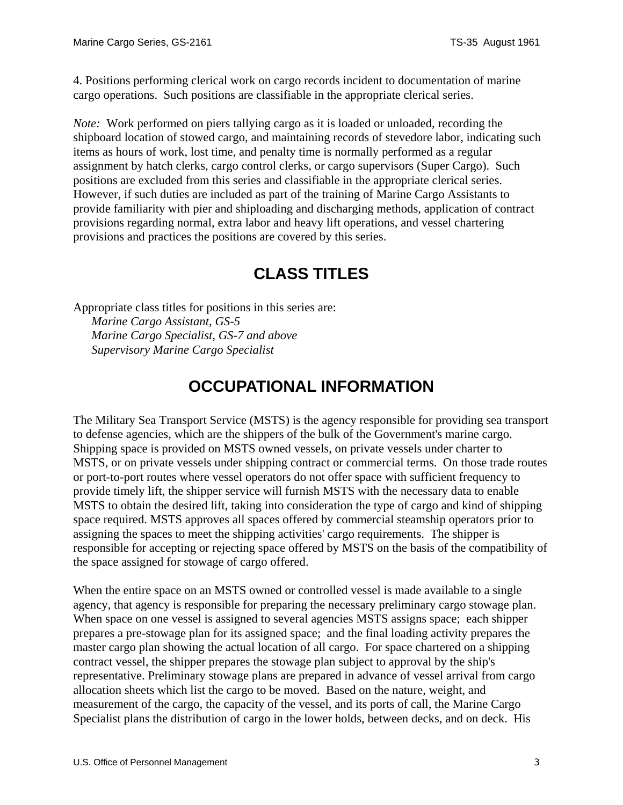<span id="page-2-0"></span>4. Positions performing clerical work on cargo records incident to documentation of marine cargo operations. Such positions are classifiable in the appropriate clerical series.

*Note:* Work performed on piers tallying cargo as it is loaded or unloaded, recording the shipboard location of stowed cargo, and maintaining records of stevedore labor, indicating such items as hours of work, lost time, and penalty time is normally performed as a regular assignment by hatch clerks, cargo control clerks, or cargo supervisors (Super Cargo). Such positions are excluded from this series and classifiable in the appropriate clerical series. However, if such duties are included as part of the training of Marine Cargo Assistants to provide familiarity with pier and shiploading and discharging methods, application of contract provisions regarding normal, extra labor and heavy lift operations, and vessel chartering provisions and practices the positions are covered by this series.

# **CLASS TITLES**

Appropriate class titles for positions in this series are: *Marine Cargo Assistant, GS-5 Marine Cargo Specialist, GS-7 and above Supervisory Marine Cargo Specialist*

# **OCCUPATIONAL INFORMATION**

The Military Sea Transport Service (MSTS) is the agency responsible for providing sea transport to defense agencies, which are the shippers of the bulk of the Government's marine cargo. Shipping space is provided on MSTS owned vessels, on private vessels under charter to MSTS, or on private vessels under shipping contract or commercial terms. On those trade routes or port-to-port routes where vessel operators do not offer space with sufficient frequency to provide timely lift, the shipper service will furnish MSTS with the necessary data to enable MSTS to obtain the desired lift, taking into consideration the type of cargo and kind of shipping space required. MSTS approves all spaces offered by commercial steamship operators prior to assigning the spaces to meet the shipping activities' cargo requirements. The shipper is responsible for accepting or rejecting space offered by MSTS on the basis of the compatibility of the space assigned for stowage of cargo offered.

When the entire space on an MSTS owned or controlled vessel is made available to a single agency, that agency is responsible for preparing the necessary preliminary cargo stowage plan. When space on one vessel is assigned to several agencies MSTS assigns space; each shipper prepares a pre-stowage plan for its assigned space; and the final loading activity prepares the master cargo plan showing the actual location of all cargo. For space chartered on a shipping contract vessel, the shipper prepares the stowage plan subject to approval by the ship's representative. Preliminary stowage plans are prepared in advance of vessel arrival from cargo allocation sheets which list the cargo to be moved. Based on the nature, weight, and measurement of the cargo, the capacity of the vessel, and its ports of call, the Marine Cargo Specialist plans the distribution of cargo in the lower holds, between decks, and on deck. His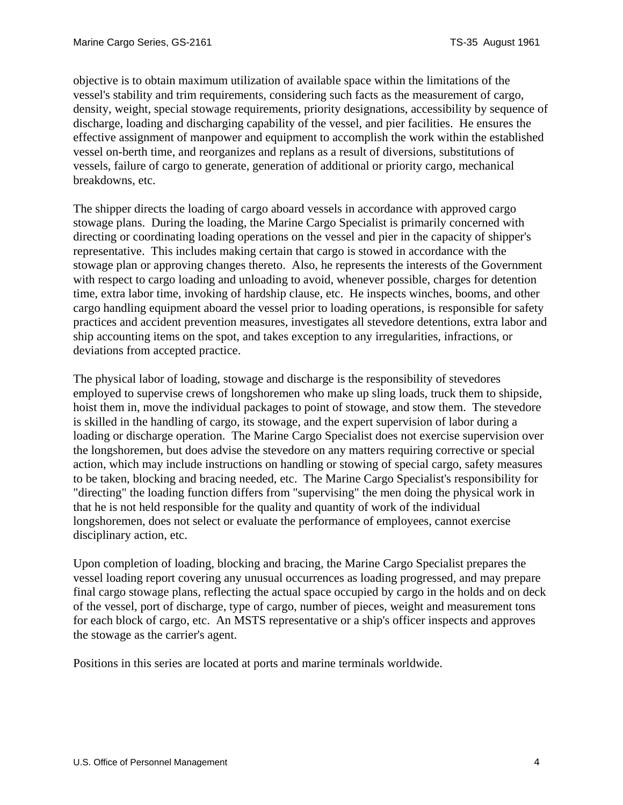objective is to obtain maximum utilization of available space within the limitations of the vessel's stability and trim requirements, considering such facts as the measurement of cargo, density, weight, special stowage requirements, priority designations, accessibility by sequence of discharge, loading and discharging capability of the vessel, and pier facilities. He ensures the effective assignment of manpower and equipment to accomplish the work within the established vessel on-berth time, and reorganizes and replans as a result of diversions, substitutions of vessels, failure of cargo to generate, generation of additional or priority cargo, mechanical breakdowns, etc.

The shipper directs the loading of cargo aboard vessels in accordance with approved cargo stowage plans. During the loading, the Marine Cargo Specialist is primarily concerned with directing or coordinating loading operations on the vessel and pier in the capacity of shipper's representative. This includes making certain that cargo is stowed in accordance with the stowage plan or approving changes thereto. Also, he represents the interests of the Government with respect to cargo loading and unloading to avoid, whenever possible, charges for detention time, extra labor time, invoking of hardship clause, etc. He inspects winches, booms, and other cargo handling equipment aboard the vessel prior to loading operations, is responsible for safety practices and accident prevention measures, investigates all stevedore detentions, extra labor and ship accounting items on the spot, and takes exception to any irregularities, infractions, or deviations from accepted practice.

The physical labor of loading, stowage and discharge is the responsibility of stevedores employed to supervise crews of longshoremen who make up sling loads, truck them to shipside, hoist them in, move the individual packages to point of stowage, and stow them. The stevedore is skilled in the handling of cargo, its stowage, and the expert supervision of labor during a loading or discharge operation. The Marine Cargo Specialist does not exercise supervision over the longshoremen, but does advise the stevedore on any matters requiring corrective or special action, which may include instructions on handling or stowing of special cargo, safety measures to be taken, blocking and bracing needed, etc. The Marine Cargo Specialist's responsibility for "directing" the loading function differs from "supervising" the men doing the physical work in that he is not held responsible for the quality and quantity of work of the individual longshoremen, does not select or evaluate the performance of employees, cannot exercise disciplinary action, etc.

Upon completion of loading, blocking and bracing, the Marine Cargo Specialist prepares the vessel loading report covering any unusual occurrences as loading progressed, and may prepare final cargo stowage plans, reflecting the actual space occupied by cargo in the holds and on deck of the vessel, port of discharge, type of cargo, number of pieces, weight and measurement tons for each block of cargo, etc. An MSTS representative or a ship's officer inspects and approves the stowage as the carrier's agent.

Positions in this series are located at ports and marine terminals worldwide.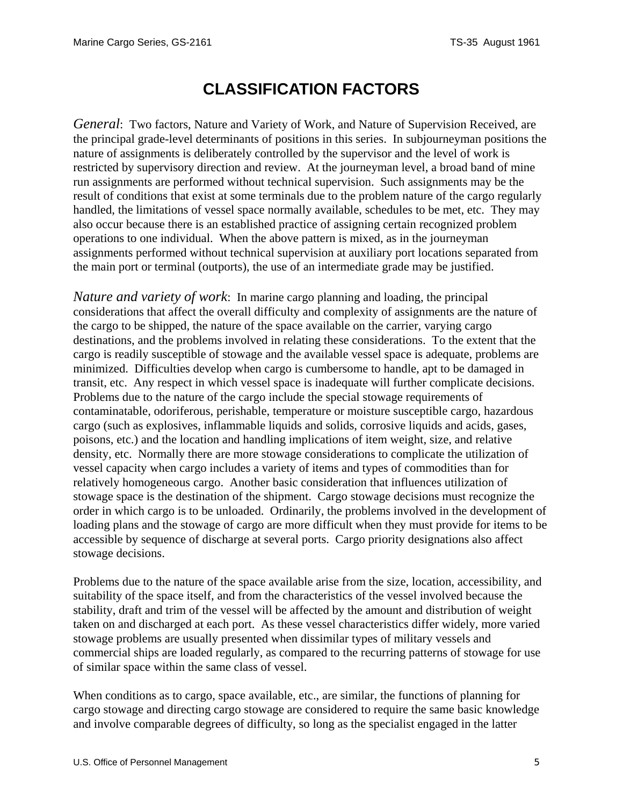### **CLASSIFICATION FACTORS**

<span id="page-4-0"></span>*General*: Two factors, Nature and Variety of Work, and Nature of Supervision Received, are the principal grade-level determinants of positions in this series. In subjourneyman positions the nature of assignments is deliberately controlled by the supervisor and the level of work is restricted by supervisory direction and review. At the journeyman level, a broad band of mine run assignments are performed without technical supervision. Such assignments may be the result of conditions that exist at some terminals due to the problem nature of the cargo regularly handled, the limitations of vessel space normally available, schedules to be met, etc. They may also occur because there is an established practice of assigning certain recognized problem operations to one individual. When the above pattern is mixed, as in the journeyman assignments performed without technical supervision at auxiliary port locations separated from the main port or terminal (outports), the use of an intermediate grade may be justified.

*Nature and variety of work*: In marine cargo planning and loading, the principal considerations that affect the overall difficulty and complexity of assignments are the nature of the cargo to be shipped, the nature of the space available on the carrier, varying cargo destinations, and the problems involved in relating these considerations. To the extent that the cargo is readily susceptible of stowage and the available vessel space is adequate, problems are minimized. Difficulties develop when cargo is cumbersome to handle, apt to be damaged in transit, etc. Any respect in which vessel space is inadequate will further complicate decisions. Problems due to the nature of the cargo include the special stowage requirements of contaminatable, odoriferous, perishable, temperature or moisture susceptible cargo, hazardous cargo (such as explosives, inflammable liquids and solids, corrosive liquids and acids, gases, poisons, etc.) and the location and handling implications of item weight, size, and relative density, etc. Normally there are more stowage considerations to complicate the utilization of vessel capacity when cargo includes a variety of items and types of commodities than for relatively homogeneous cargo. Another basic consideration that influences utilization of stowage space is the destination of the shipment. Cargo stowage decisions must recognize the order in which cargo is to be unloaded. Ordinarily, the problems involved in the development of loading plans and the stowage of cargo are more difficult when they must provide for items to be accessible by sequence of discharge at several ports. Cargo priority designations also affect stowage decisions.

Problems due to the nature of the space available arise from the size, location, accessibility, and suitability of the space itself, and from the characteristics of the vessel involved because the stability, draft and trim of the vessel will be affected by the amount and distribution of weight taken on and discharged at each port. As these vessel characteristics differ widely, more varied stowage problems are usually presented when dissimilar types of military vessels and commercial ships are loaded regularly, as compared to the recurring patterns of stowage for use of similar space within the same class of vessel.

When conditions as to cargo, space available, etc., are similar, the functions of planning for cargo stowage and directing cargo stowage are considered to require the same basic knowledge and involve comparable degrees of difficulty, so long as the specialist engaged in the latter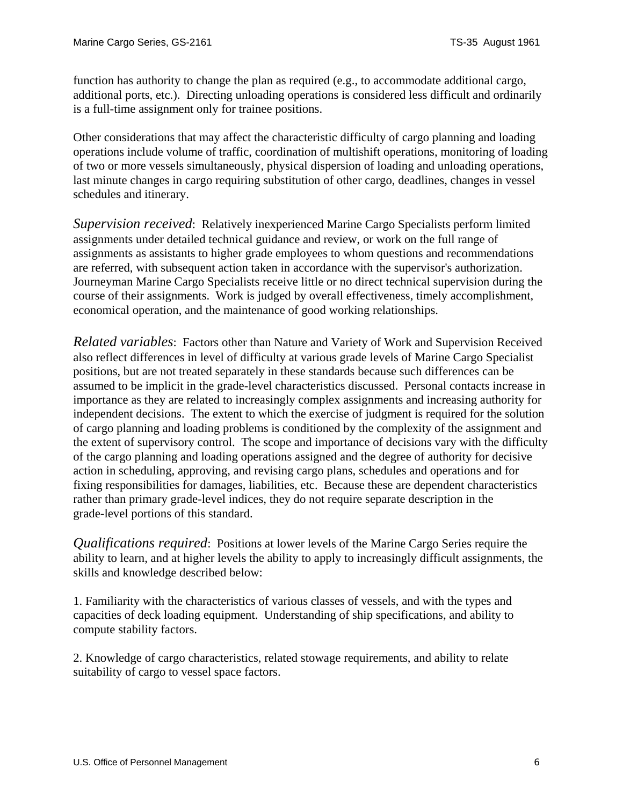function has authority to change the plan as required (e.g., to accommodate additional cargo, additional ports, etc.). Directing unloading operations is considered less difficult and ordinarily is a full-time assignment only for trainee positions.

Other considerations that may affect the characteristic difficulty of cargo planning and loading operations include volume of traffic, coordination of multishift operations, monitoring of loading of two or more vessels simultaneously, physical dispersion of loading and unloading operations, last minute changes in cargo requiring substitution of other cargo, deadlines, changes in vessel schedules and itinerary.

*Supervision received*: Relatively inexperienced Marine Cargo Specialists perform limited assignments under detailed technical guidance and review, or work on the full range of assignments as assistants to higher grade employees to whom questions and recommendations are referred, with subsequent action taken in accordance with the supervisor's authorization. Journeyman Marine Cargo Specialists receive little or no direct technical supervision during the course of their assignments. Work is judged by overall effectiveness, timely accomplishment, economical operation, and the maintenance of good working relationships.

*Related variables*: Factors other than Nature and Variety of Work and Supervision Received also reflect differences in level of difficulty at various grade levels of Marine Cargo Specialist positions, but are not treated separately in these standards because such differences can be assumed to be implicit in the grade-level characteristics discussed. Personal contacts increase in importance as they are related to increasingly complex assignments and increasing authority for independent decisions. The extent to which the exercise of judgment is required for the solution of cargo planning and loading problems is conditioned by the complexity of the assignment and the extent of supervisory control. The scope and importance of decisions vary with the difficulty of the cargo planning and loading operations assigned and the degree of authority for decisive action in scheduling, approving, and revising cargo plans, schedules and operations and for fixing responsibilities for damages, liabilities, etc. Because these are dependent characteristics rather than primary grade-level indices, they do not require separate description in the grade-level portions of this standard.

*Qualifications required*: Positions at lower levels of the Marine Cargo Series require the ability to learn, and at higher levels the ability to apply to increasingly difficult assignments, the skills and knowledge described below:

1. Familiarity with the characteristics of various classes of vessels, and with the types and capacities of deck loading equipment. Understanding of ship specifications, and ability to compute stability factors.

2. Knowledge of cargo characteristics, related stowage requirements, and ability to relate suitability of cargo to vessel space factors.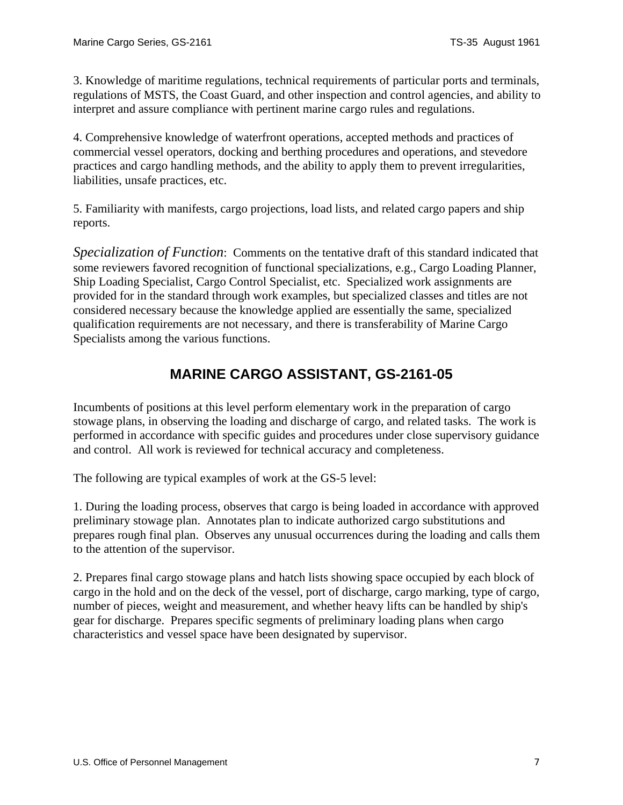<span id="page-6-0"></span>3. Knowledge of maritime regulations, technical requirements of particular ports and terminals, regulations of MSTS, the Coast Guard, and other inspection and control agencies, and ability to interpret and assure compliance with pertinent marine cargo rules and regulations.

4. Comprehensive knowledge of waterfront operations, accepted methods and practices of commercial vessel operators, docking and berthing procedures and operations, and stevedore practices and cargo handling methods, and the ability to apply them to prevent irregularities, liabilities, unsafe practices, etc.

5. Familiarity with manifests, cargo projections, load lists, and related cargo papers and ship reports.

*Specialization of Function*: Comments on the tentative draft of this standard indicated that some reviewers favored recognition of functional specializations, e.g., Cargo Loading Planner, Ship Loading Specialist, Cargo Control Specialist, etc. Specialized work assignments are provided for in the standard through work examples, but specialized classes and titles are not considered necessary because the knowledge applied are essentially the same, specialized qualification requirements are not necessary, and there is transferability of Marine Cargo Specialists among the various functions.

#### **MARINE CARGO ASSISTANT, GS-2161-05**

Incumbents of positions at this level perform elementary work in the preparation of cargo stowage plans, in observing the loading and discharge of cargo, and related tasks. The work is performed in accordance with specific guides and procedures under close supervisory guidance and control. All work is reviewed for technical accuracy and completeness.

The following are typical examples of work at the GS-5 level:

1. During the loading process, observes that cargo is being loaded in accordance with approved preliminary stowage plan. Annotates plan to indicate authorized cargo substitutions and prepares rough final plan. Observes any unusual occurrences during the loading and calls them to the attention of the supervisor.

2. Prepares final cargo stowage plans and hatch lists showing space occupied by each block of cargo in the hold and on the deck of the vessel, port of discharge, cargo marking, type of cargo, number of pieces, weight and measurement, and whether heavy lifts can be handled by ship's gear for discharge. Prepares specific segments of preliminary loading plans when cargo characteristics and vessel space have been designated by supervisor.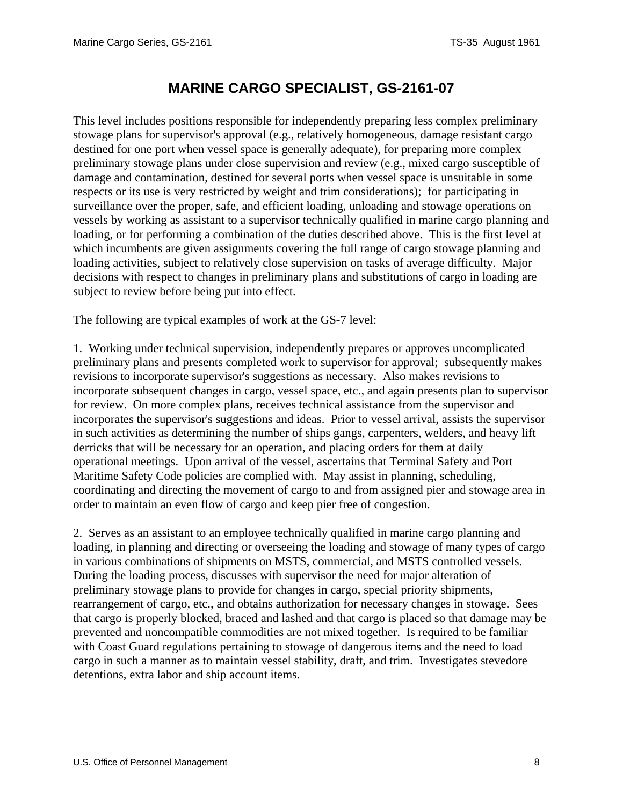### **MARINE CARGO SPECIALIST, GS***-***2161***-***07**

<span id="page-7-0"></span>This level includes positions responsible for independently preparing less complex preliminary stowage plans for supervisor's approval (e.g., relatively homogeneous, damage resistant cargo destined for one port when vessel space is generally adequate), for preparing more complex preliminary stowage plans under close supervision and review (e.g., mixed cargo susceptible of damage and contamination, destined for several ports when vessel space is unsuitable in some respects or its use is very restricted by weight and trim considerations); for participating in surveillance over the proper, safe, and efficient loading, unloading and stowage operations on vessels by working as assistant to a supervisor technically qualified in marine cargo planning and loading, or for performing a combination of the duties described above. This is the first level at which incumbents are given assignments covering the full range of cargo stowage planning and loading activities, subject to relatively close supervision on tasks of average difficulty. Major decisions with respect to changes in preliminary plans and substitutions of cargo in loading are subject to review before being put into effect.

The following are typical examples of work at the GS-7 level:

1. Working under technical supervision, independently prepares or approves uncomplicated preliminary plans and presents completed work to supervisor for approval; subsequently makes revisions to incorporate supervisor's suggestions as necessary. Also makes revisions to incorporate subsequent changes in cargo, vessel space, etc., and again presents plan to supervisor for review. On more complex plans, receives technical assistance from the supervisor and incorporates the supervisor's suggestions and ideas. Prior to vessel arrival, assists the supervisor in such activities as determining the number of ships gangs, carpenters, welders, and heavy lift derricks that will be necessary for an operation, and placing orders for them at daily operational meetings. Upon arrival of the vessel, ascertains that Terminal Safety and Port Maritime Safety Code policies are complied with. May assist in planning, scheduling, coordinating and directing the movement of cargo to and from assigned pier and stowage area in order to maintain an even flow of cargo and keep pier free of congestion.

2. Serves as an assistant to an employee technically qualified in marine cargo planning and loading, in planning and directing or overseeing the loading and stowage of many types of cargo in various combinations of shipments on MSTS, commercial, and MSTS controlled vessels. During the loading process, discusses with supervisor the need for major alteration of preliminary stowage plans to provide for changes in cargo, special priority shipments, rearrangement of cargo, etc., and obtains authorization for necessary changes in stowage. Sees that cargo is properly blocked, braced and lashed and that cargo is placed so that damage may be prevented and noncompatible commodities are not mixed together. Is required to be familiar with Coast Guard regulations pertaining to stowage of dangerous items and the need to load cargo in such a manner as to maintain vessel stability, draft, and trim. Investigates stevedore detentions, extra labor and ship account items.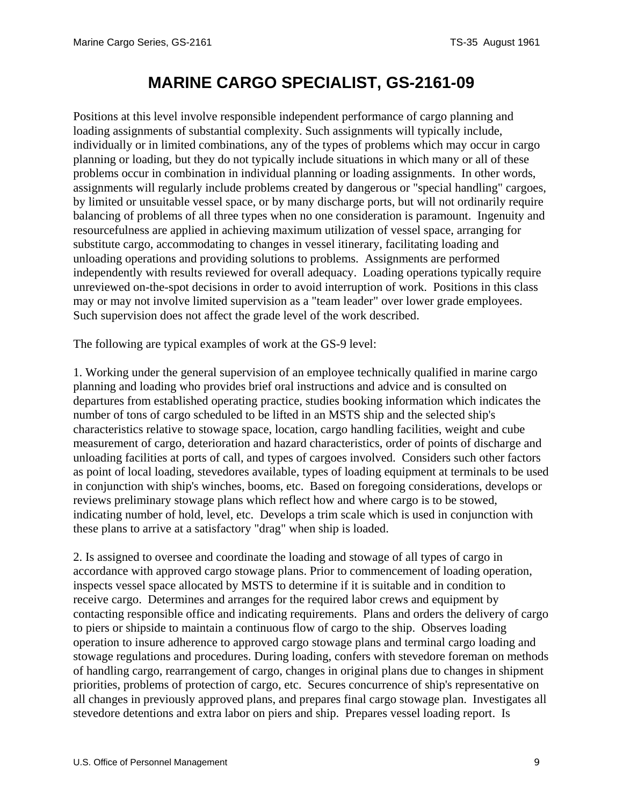# **MARINE CARGO SPECIALIST, GS***-***2161***-***09**

<span id="page-8-0"></span>Positions at this level involve responsible independent performance of cargo planning and loading assignments of substantial complexity. Such assignments will typically include, individually or in limited combinations, any of the types of problems which may occur in cargo planning or loading, but they do not typically include situations in which many or all of these problems occur in combination in individual planning or loading assignments. In other words, assignments will regularly include problems created by dangerous or "special handling" cargoes, by limited or unsuitable vessel space, or by many discharge ports, but will not ordinarily require balancing of problems of all three types when no one consideration is paramount. Ingenuity and resourcefulness are applied in achieving maximum utilization of vessel space, arranging for substitute cargo, accommodating to changes in vessel itinerary, facilitating loading and unloading operations and providing solutions to problems. Assignments are performed independently with results reviewed for overall adequacy. Loading operations typically require unreviewed on-the-spot decisions in order to avoid interruption of work. Positions in this class may or may not involve limited supervision as a "team leader" over lower grade employees. Such supervision does not affect the grade level of the work described.

The following are typical examples of work at the GS-9 level:

1. Working under the general supervision of an employee technically qualified in marine cargo planning and loading who provides brief oral instructions and advice and is consulted on departures from established operating practice, studies booking information which indicates the number of tons of cargo scheduled to be lifted in an MSTS ship and the selected ship's characteristics relative to stowage space, location, cargo handling facilities, weight and cube measurement of cargo, deterioration and hazard characteristics, order of points of discharge and unloading facilities at ports of call, and types of cargoes involved. Considers such other factors as point of local loading, stevedores available, types of loading equipment at terminals to be used in conjunction with ship's winches, booms, etc. Based on foregoing considerations, develops or reviews preliminary stowage plans which reflect how and where cargo is to be stowed, indicating number of hold, level, etc. Develops a trim scale which is used in conjunction with these plans to arrive at a satisfactory "drag" when ship is loaded.

2. Is assigned to oversee and coordinate the loading and stowage of all types of cargo in accordance with approved cargo stowage plans. Prior to commencement of loading operation, inspects vessel space allocated by MSTS to determine if it is suitable and in condition to receive cargo. Determines and arranges for the required labor crews and equipment by contacting responsible office and indicating requirements. Plans and orders the delivery of cargo to piers or shipside to maintain a continuous flow of cargo to the ship. Observes loading operation to insure adherence to approved cargo stowage plans and terminal cargo loading and stowage regulations and procedures. During loading, confers with stevedore foreman on methods of handling cargo, rearrangement of cargo, changes in original plans due to changes in shipment priorities, problems of protection of cargo, etc. Secures concurrence of ship's representative on all changes in previously approved plans, and prepares final cargo stowage plan. Investigates all stevedore detentions and extra labor on piers and ship. Prepares vessel loading report. Is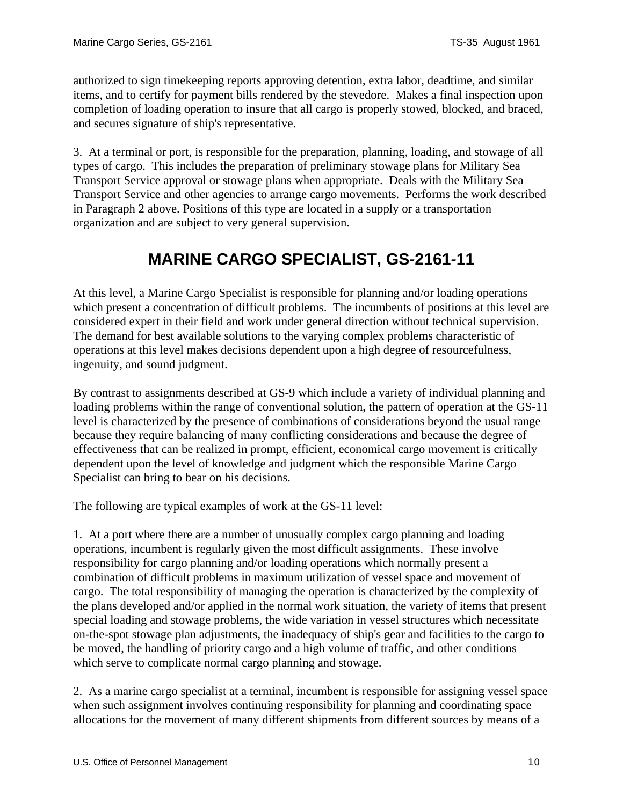<span id="page-9-0"></span>authorized to sign timekeeping reports approving detention, extra labor, deadtime, and similar items, and to certify for payment bills rendered by the stevedore. Makes a final inspection upon completion of loading operation to insure that all cargo is properly stowed, blocked, and braced, and secures signature of ship's representative.

3. At a terminal or port, is responsible for the preparation, planning, loading, and stowage of all types of cargo. This includes the preparation of preliminary stowage plans for Military Sea Transport Service approval or stowage plans when appropriate. Deals with the Military Sea Transport Service and other agencies to arrange cargo movements. Performs the work described in Paragraph 2 above. Positions of this type are located in a supply or a transportation organization and are subject to very general supervision.

# **MARINE CARGO SPECIALIST, GS***-***2161***-***11**

At this level, a Marine Cargo Specialist is responsible for planning and/or loading operations which present a concentration of difficult problems. The incumbents of positions at this level are considered expert in their field and work under general direction without technical supervision. The demand for best available solutions to the varying complex problems characteristic of operations at this level makes decisions dependent upon a high degree of resourcefulness, ingenuity, and sound judgment.

By contrast to assignments described at GS-9 which include a variety of individual planning and loading problems within the range of conventional solution, the pattern of operation at the GS-11 level is characterized by the presence of combinations of considerations beyond the usual range because they require balancing of many conflicting considerations and because the degree of effectiveness that can be realized in prompt, efficient, economical cargo movement is critically dependent upon the level of knowledge and judgment which the responsible Marine Cargo Specialist can bring to bear on his decisions.

The following are typical examples of work at the GS-11 level:

1. At a port where there are a number of unusually complex cargo planning and loading operations, incumbent is regularly given the most difficult assignments. These involve responsibility for cargo planning and/or loading operations which normally present a combination of difficult problems in maximum utilization of vessel space and movement of cargo. The total responsibility of managing the operation is characterized by the complexity of the plans developed and/or applied in the normal work situation, the variety of items that present special loading and stowage problems, the wide variation in vessel structures which necessitate on-the-spot stowage plan adjustments, the inadequacy of ship's gear and facilities to the cargo to be moved, the handling of priority cargo and a high volume of traffic, and other conditions which serve to complicate normal cargo planning and stowage.

2. As a marine cargo specialist at a terminal, incumbent is responsible for assigning vessel space when such assignment involves continuing responsibility for planning and coordinating space allocations for the movement of many different shipments from different sources by means of a